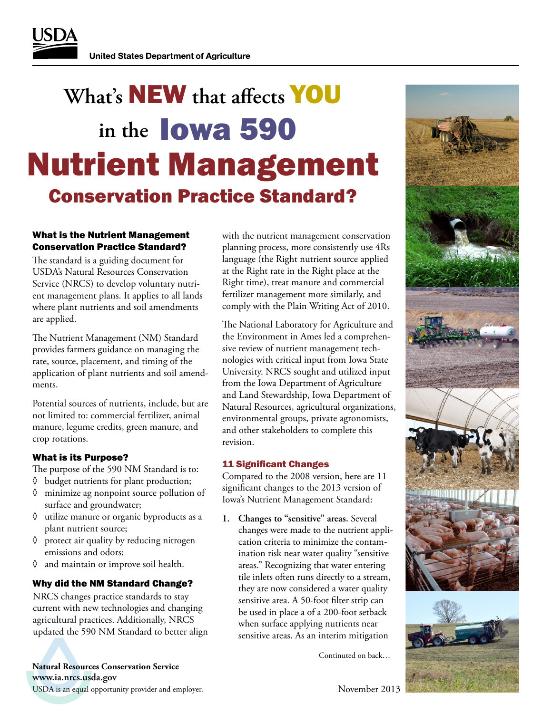# **What's** NEW **that affects** YOU **in the** Iowa 590 Conservation Practice Standard? Nutrient Management

### What is the Nutrient Management Conservation Practice Standard?

The standard is a guiding document for USDA's Natural Resources Conservation Service (NRCS) to develop voluntary nutrient management plans. It applies to all lands where plant nutrients and soil amendments are applied.

The Nutrient Management (NM) Standard provides farmers guidance on managing the rate, source, placement, and timing of the application of plant nutrients and soil amendments.

Potential sources of nutrients, include, but are not limited to: commercial fertilizer, animal manure, legume credits, green manure, and crop rotations.

#### What is its Purpose?

The purpose of the 590 NM Standard is to:

- ◊ budget nutrients for plant production;
- ◊ minimize ag nonpoint source pollution of surface and groundwater;
- ◊ utilize manure or organic byproducts as a plant nutrient source;
- ◊ protect air quality by reducing nitrogen emissions and odors;
- ◊ and maintain or improve soil health.

#### Why did the NM Standard Change?

NRCS changes practice standards to stay current with new technologies and changing agricultural practices. Additionally, NRCS updated the 590 NM Standard to better align

USDA is an equal opportunity provider and employer. **www.ia.nrcs.usda.gov Natural Resources Conservation Service**

with the nutrient management conservation planning process, more consistently use 4Rs language (the Right nutrient source applied at the Right rate in the Right place at the Right time), treat manure and commercial fertilizer management more similarly, and comply with the Plain Writing Act of 2010.

The National Laboratory for Agriculture and the Environment in Ames led a comprehensive review of nutrient management technologies with critical input from Iowa State University. NRCS sought and utilized input from the Iowa Department of Agriculture and Land Stewardship, Iowa Department of Natural Resources, agricultural organizations, environmental groups, private agronomists, and other stakeholders to complete this revision.

#### 11 Significant Changes

Compared to the 2008 version, here are 11 significant changes to the 2013 version of Iowa's Nutrient Management Standard:

**1. Changes to "sensitive" areas.** Several changes were made to the nutrient application criteria to minimize the contamination risk near water quality "sensitive areas." Recognizing that water entering tile inlets often runs directly to a stream, they are now considered a water quality sensitive area. A 50-foot filter strip can be used in place a of a 200-foot setback when surface applying nutrients near sensitive areas. As an interim mitigation

Continuted on back…